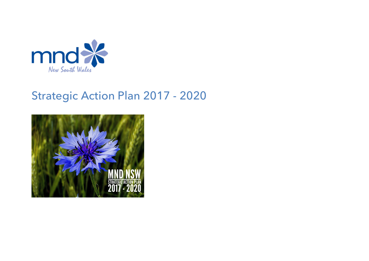

# Strategic Action Plan 2017 - 2020

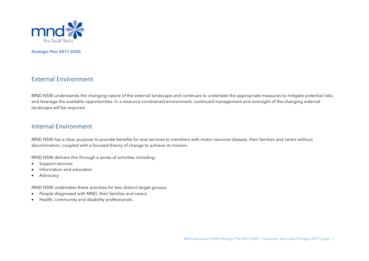

### External Environment

MND NSW understands the changing nature of the external landscape and continues to undertake the appropriate measures to mitigate potential risks and leverage the available opportunities. In a resource constrained environment, continued management and oversight of the changing external landscape will be required.

### Internal Environment

MND NSW has a clear purpose to provide benefits for and services to members with motor neurone disease, their families and carers without discrimination; coupled with a focused theory of change to achieve its mission.

MND NSW delivers this through a series of activities including:

- Support services
- Information and education
- Advocacy

MND NSW undertakes these activities for two distinct target groups:

- People diagnosed with MND, their families and carers
- Health, community and disability professionals.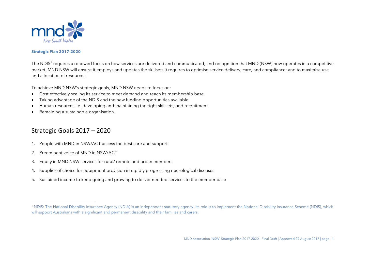

The NDIS<sup>1</sup> requires a renewed focus on how services are delivered and communicated, and recognition that MND (NSW) now operates in a competitive market. MND NSW will ensure it employs and updates the skillsets it requires to optimise service delivery, care, and compliance; and to maximise use and allocation of resources.

To achieve MND NSW's strategic goals, MND NSW needs to focus on:

- Cost effectively scaling its service to meet demand and reach its membership base
- Taking advantage of the NDIS and the new funding opportunities available
- Human resources i.e. developing and maintaining the right skillsets; and recruitment
- Remaining a sustainable organisation.

### Strategic Goals 2017 - 2020

- 1. People with MND in NSW/ACT access the best care and support
- 2. Preeminent voice of MND in NSW/ACT

 

- 3. Equity in MND NSW services for rural/ remote and urban members
- 4. Supplier of choice for equipment provision in rapidly progressing neurological diseases
- 5. Sustained income to keep going and growing to deliver needed services to the member base

<sup>1</sup> NDIS: The National Disability Insurance Agency (NDIA) is an independent statutory agency. Its role is to implement the National Disability Insurance Scheme (NDIS), which will support Australians with a significant and permanent disability and their families and carers.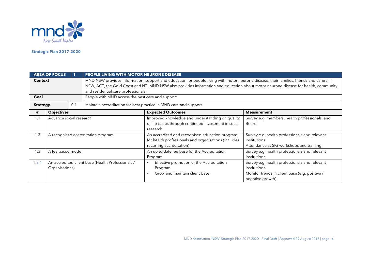

|                 | <b>AREA OF FOCUS</b>                                                |                         | PEOPLE LIVING WITH MOTOR NEURONE DISEASE                                                                                                                                                                                                                                                                             |                                                                                                                                    |                                                                                                                                     |  |
|-----------------|---------------------------------------------------------------------|-------------------------|----------------------------------------------------------------------------------------------------------------------------------------------------------------------------------------------------------------------------------------------------------------------------------------------------------------------|------------------------------------------------------------------------------------------------------------------------------------|-------------------------------------------------------------------------------------------------------------------------------------|--|
| <b>Context</b>  |                                                                     |                         | MND NSW provides information, support and education for people living with motor neurone disease, their families, friends and carers in<br>NSW, ACT, the Gold Coast and NT. MND NSW also provides information and education about motor neurone disease for health, community<br>and residential care professionals. |                                                                                                                                    |                                                                                                                                     |  |
| Goal            |                                                                     |                         | People with MND access the best care and support                                                                                                                                                                                                                                                                     |                                                                                                                                    |                                                                                                                                     |  |
| <b>Strategy</b> |                                                                     | 0.1                     |                                                                                                                                                                                                                                                                                                                      | Maintain accreditation for best practice in MND care and support                                                                   |                                                                                                                                     |  |
| #               | <b>Objectives</b>                                                   |                         |                                                                                                                                                                                                                                                                                                                      | <b>Expected Outcomes</b>                                                                                                           | <b>Measurement</b>                                                                                                                  |  |
| 1.1             |                                                                     | Advance social research |                                                                                                                                                                                                                                                                                                                      | Improved knowledge and understanding on quality<br>of life issues through continued investment in social<br>research               | Survey e.g. members, health professionals, and<br>Board                                                                             |  |
| 1.2             |                                                                     |                         | A recognised accreditation program                                                                                                                                                                                                                                                                                   | An accredited and recognised education program<br>for health professionals and organisations (Includes<br>recurring accreditation) | Survey e.g. health professionals and relevant<br>institutions<br>Attendance at SIG workshops and training                           |  |
| 1.3             | A fee based model                                                   |                         |                                                                                                                                                                                                                                                                                                                      | An up to date fee base for the Accreditation<br>Program                                                                            | Survey e.g. health professionals and relevant<br>institutions                                                                       |  |
| 1.3.1           | An accredited client base (Health Professionals /<br>Organisations) |                         |                                                                                                                                                                                                                                                                                                                      | Effective promotion of the Accreditation<br>$\overline{\phantom{a}}$<br>Program<br>Grow and maintain client base                   | Survey e.g. health professionals and relevant<br>institutions<br>Monitor trends in client base (e.g. positive /<br>negative growth) |  |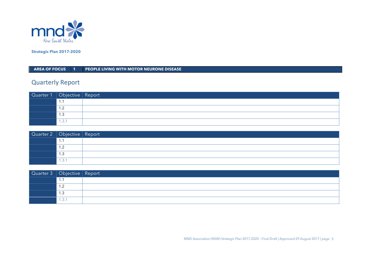

**AREA OF FOCUS 1 PEOPLE LIVING WITH MOTOR NEURONE DISEASE** 

# **Quarterly Report**

| Quarter 1   Objective   Report |                          |  |
|--------------------------------|--------------------------|--|
|                                | .                        |  |
|                                | $\overline{\phantom{a}}$ |  |
|                                | ن. ا                     |  |
|                                | 1.3.1                    |  |

| Quarter 2   Objective   Report |                        |  |
|--------------------------------|------------------------|--|
|                                |                        |  |
|                                | $\sim$<br>. . <u>.</u> |  |
|                                | ں ، ا                  |  |
|                                | .3.1                   |  |

| Quarter 3   Objective   Report |                          |  |
|--------------------------------|--------------------------|--|
|                                |                          |  |
|                                | $\overline{\phantom{a}}$ |  |
|                                | 1.3                      |  |
|                                | 1.3.1                    |  |

MND Association (NSW) Strategic Plan 2017-2020 – Final Draft | Approved 29 August 2017 | page 5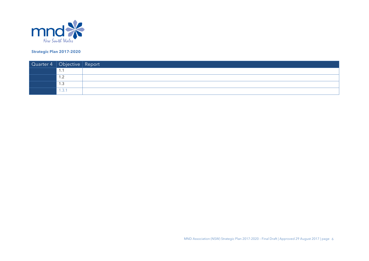

| Quarter 4   Objective   Report |                                  |  |
|--------------------------------|----------------------------------|--|
|                                | . .                              |  |
|                                | 1 2<br>. . <u>.</u>              |  |
|                                | $\overline{\phantom{0}}$<br>ن. ا |  |
|                                | 1.3.1                            |  |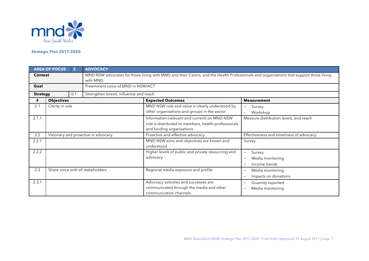

|                 | <b>AREA OF FOCUS</b>              | $\overline{2}$ | <b>ADVOCACY</b>                                                                                                                                     |                                                                                                                                    |                                                                                                     |  |
|-----------------|-----------------------------------|----------------|-----------------------------------------------------------------------------------------------------------------------------------------------------|------------------------------------------------------------------------------------------------------------------------------------|-----------------------------------------------------------------------------------------------------|--|
| <b>Context</b>  |                                   |                | MND NSW advocates for those living with MND and their Carers; and the Health Professionals and organisations that support those living<br>with MND. |                                                                                                                                    |                                                                                                     |  |
| Goal            |                                   |                | Preeminent voice of MND in NSW/ACT                                                                                                                  |                                                                                                                                    |                                                                                                     |  |
| <b>Strategy</b> |                                   | 0.1            | Strengthen brand, influence and reach                                                                                                               |                                                                                                                                    |                                                                                                     |  |
| #               | <b>Objectives</b>                 |                |                                                                                                                                                     | <b>Expected Outcomes</b>                                                                                                           | <b>Measurement</b>                                                                                  |  |
| 2.1             | Clarity in role                   |                |                                                                                                                                                     | MND NSW role and value is clearly understood by<br>other organisations and groups in the sector                                    | Survey<br>$\overline{\phantom{0}}$<br>Workshop                                                      |  |
| 2.1.1           |                                   |                |                                                                                                                                                     | Information (relevant and current) on MND NSW<br>role is distributed to members, health professionals<br>and funding organisations | Measure distribution levels, and reach                                                              |  |
| 2.2             |                                   |                | Visionary and proactive in advocacy                                                                                                                 | Proactive and effective advocacy                                                                                                   | Effectiveness and timeliness of advocacy                                                            |  |
| 2.2.1           |                                   |                |                                                                                                                                                     | MND NSW aims and objectives are known and<br>understood                                                                            | Survey                                                                                              |  |
| 2.2.2           |                                   |                |                                                                                                                                                     | Higher levels of public and private resourcing and<br>advocacy                                                                     | Survey<br>$\overline{\phantom{0}}$<br>Media monitoring<br>Income trends<br>$\overline{\phantom{0}}$ |  |
| 2.3             | Share voice with all stakeholders |                |                                                                                                                                                     | Regional media exposure and profile                                                                                                | Media monitoring<br>$\qquad \qquad -$<br>Impacts on donations                                       |  |
| 2.3.1           |                                   |                |                                                                                                                                                     | Advocacy activities and successes are<br>communicated through the media and other<br>communication channels                        | Quantity reported<br>Media monitoring<br>$\qquad \qquad$                                            |  |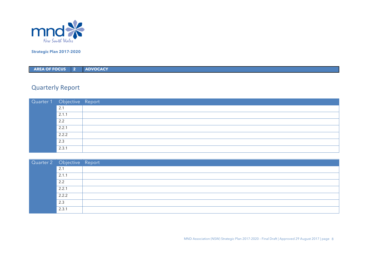

**AREA OF FOCUS 2 ADVOCACY**

| Quarter 1 Objective Report |       |  |
|----------------------------|-------|--|
|                            | 2.1   |  |
|                            | 2.1.1 |  |
|                            | 2.2   |  |
|                            | 2.2.1 |  |
|                            | 2.2.2 |  |
|                            | 2.3   |  |
|                            | 2.3.1 |  |

| Quarter 2 Objective Report |       |  |
|----------------------------|-------|--|
|                            | 2.1   |  |
|                            | 2.1.1 |  |
|                            | 2.2   |  |
|                            | 2.2.1 |  |
|                            | 2.2.2 |  |
|                            | 2.3   |  |
|                            | 2.3.1 |  |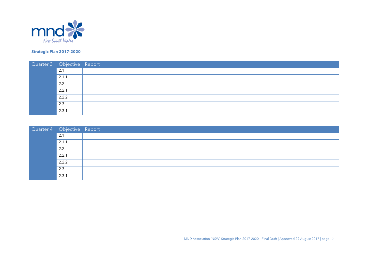

| Quarter 3 Objective Report |       |  |
|----------------------------|-------|--|
|                            | 2.1   |  |
|                            | 2.1.1 |  |
|                            | 2.2   |  |
|                            | 2.2.1 |  |
|                            | 2.2.2 |  |
|                            | 2.3   |  |
|                            | 2.3.1 |  |

| Quarter 4 Objective Report |       |  |
|----------------------------|-------|--|
|                            | 2.1   |  |
|                            | 2.1.1 |  |
|                            | 2.2   |  |
|                            | 2.2.1 |  |
|                            | 2.2.2 |  |
|                            | 2.3   |  |
|                            | 2.3.1 |  |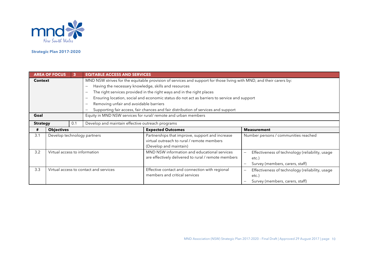

|                 | <b>AREA OF FOCUS</b>                   | 3   | <b>EQITABLE ACCESS AND SERVICES</b>                                                                                 |                                                                                    |                                                                             |  |
|-----------------|----------------------------------------|-----|---------------------------------------------------------------------------------------------------------------------|------------------------------------------------------------------------------------|-----------------------------------------------------------------------------|--|
| <b>Context</b>  |                                        |     | MND NSW strives for the equitable provision of services and support for those living with MND, and their carers by: |                                                                                    |                                                                             |  |
|                 |                                        |     | Having the necessary knowledge, skills and resources                                                                |                                                                                    |                                                                             |  |
|                 |                                        |     | The right services provided in the right ways and in the right places                                               |                                                                                    |                                                                             |  |
|                 |                                        |     | Ensuring location, social and economic status do not act as barriers to service and support                         |                                                                                    |                                                                             |  |
|                 |                                        |     |                                                                                                                     | Removing unfair and avoidable barriers                                             |                                                                             |  |
|                 |                                        |     |                                                                                                                     | Supporting fair access, fair chances and fair distribution of services and support |                                                                             |  |
| Goal            |                                        |     |                                                                                                                     | Equity in MND NSW services for rural/ remote and urban members                     |                                                                             |  |
| <b>Strategy</b> |                                        | 0.1 | Develop and maintain effective outreach programs                                                                    |                                                                                    |                                                                             |  |
| #               | <b>Objectives</b>                      |     |                                                                                                                     | <b>Expected Outcomes</b>                                                           | <b>Measurement</b>                                                          |  |
| 3.1             | Develop technology partners            |     |                                                                                                                     | Partnerships that improve, support and increase                                    | Number persons / communities reached                                        |  |
|                 |                                        |     |                                                                                                                     | virtual outreach to rural / remote members                                         |                                                                             |  |
|                 |                                        |     |                                                                                                                     | (Develop and maintain)                                                             |                                                                             |  |
| 3.2             | Virtual access to information          |     |                                                                                                                     | MND NSW information and educational services                                       | Effectiveness of technology (reliability, usage<br>$\overline{\phantom{0}}$ |  |
|                 |                                        |     |                                                                                                                     | are effectively delivered to rural / remote members                                | $etc.$ )                                                                    |  |
|                 |                                        |     |                                                                                                                     |                                                                                    | Survey (members, carers, staff)                                             |  |
| 3.3             | Virtual access to contact and services |     |                                                                                                                     | Effective contact and connection with regional                                     | Effectiveness of technology (reliability, usage<br>$\qquad \qquad -$        |  |
|                 |                                        |     |                                                                                                                     | members and critical services                                                      | $etc.$ )                                                                    |  |
|                 |                                        |     |                                                                                                                     |                                                                                    | Survey (members, carers, staff)                                             |  |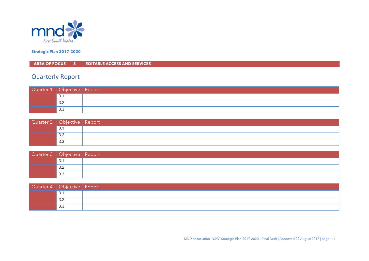

**AREA OF FOCUS 3 EQITABLE ACCESS AND SERVICES**

| Quarter 1   Objective   Report |     |  |
|--------------------------------|-----|--|
|                                | 3.1 |  |
|                                | 3.2 |  |
|                                | 3.3 |  |

| Quarter 2   Objective   Report |     |  |
|--------------------------------|-----|--|
|                                | 3.1 |  |
|                                | 3.2 |  |
|                                | 3.3 |  |

| Quarter 3   Objective   Report |           |  |
|--------------------------------|-----------|--|
|                                | ا د ب     |  |
|                                | っっ<br>ے.د |  |
|                                | 3.3       |  |

| Quarter 4   Objective   Report |           |  |
|--------------------------------|-----------|--|
|                                | ્ર<br>ັ.  |  |
|                                | っっ<br>ے.ب |  |
|                                | 3.3       |  |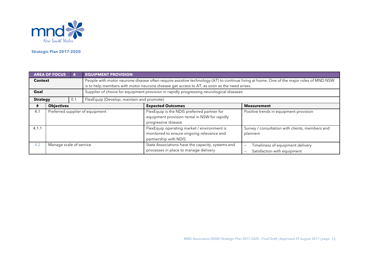

|                 | <b>AREA OF FOCUS</b>            |     | <b>EQUIPMENT PROVISION</b>                                                                                                                                                                                                             |                                                                                                                     |                                                                      |  |
|-----------------|---------------------------------|-----|----------------------------------------------------------------------------------------------------------------------------------------------------------------------------------------------------------------------------------------|---------------------------------------------------------------------------------------------------------------------|----------------------------------------------------------------------|--|
| <b>Context</b>  |                                 |     | People with motor neurone disease often require assistive technology (AT) to continue living at home. One of the major roles of MND NSW<br>is to help members with motor neurone disease get access to AT, as soon as the need arises. |                                                                                                                     |                                                                      |  |
| Goal            |                                 |     |                                                                                                                                                                                                                                        | Supplier of choice for equipment provision in rapidly progressing neurological diseases                             |                                                                      |  |
| <b>Strategy</b> |                                 | 0.1 | FlexEquip (Develop, maintain and promote)                                                                                                                                                                                              |                                                                                                                     |                                                                      |  |
| #               | <b>Objectives</b>               |     |                                                                                                                                                                                                                                        | <b>Expected Outcomes</b>                                                                                            | <b>Measurement</b>                                                   |  |
| 4.1             | Preferred supplier of equipment |     |                                                                                                                                                                                                                                        | FlexEquip is the NDIS preferred partner for<br>equipment provision rental in NSW for rapidly<br>progressive disease | Positive trends in equipment provision                               |  |
| 4.1.1           |                                 |     |                                                                                                                                                                                                                                        | FlexEquip operating market / environment is<br>monitored to ensure ongoing relevance and<br>partnership with NDIS   | Survey / consultation with clients, members and<br>planners          |  |
| 4.2             | Manage scale of service         |     |                                                                                                                                                                                                                                        | State Associations have the capacity, systems and<br>processes in place to manage delivery                          | Timeliness of equipment delivery<br>-<br>Satisfaction with equipment |  |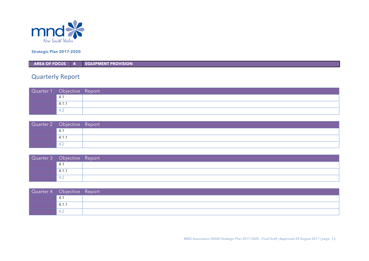

**AREA OF FOCUS 4 EQUIPMENT PROVISION**

| Quarter 1 Objective Report |       |  |
|----------------------------|-------|--|
|                            | -4.   |  |
|                            | 4.1.1 |  |
|                            | -4.2  |  |

| Quarter 2 Objective Report |       |  |
|----------------------------|-------|--|
|                            | -4. î |  |
|                            | 4.1.1 |  |
|                            |       |  |

| Quarter 3 Objective Report |       |  |
|----------------------------|-------|--|
|                            | 4.    |  |
|                            | 4.1.1 |  |
|                            |       |  |

| Quarter 4 Objective Report |       |  |
|----------------------------|-------|--|
|                            | 4.1   |  |
|                            | 4.1.1 |  |
|                            | 4.2   |  |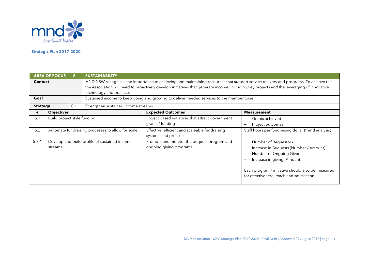

|                 | <b>AREA OF FOCUS</b>                                     | 5   | <b>SUSTAINABILITY</b>               |                                                                                                                                                                                                                                                                                    |                                                                                                                                                                                                                                                         |
|-----------------|----------------------------------------------------------|-----|-------------------------------------|------------------------------------------------------------------------------------------------------------------------------------------------------------------------------------------------------------------------------------------------------------------------------------|---------------------------------------------------------------------------------------------------------------------------------------------------------------------------------------------------------------------------------------------------------|
|                 | <b>Context</b>                                           |     | technology and practice.            | MND NSW recognises the importance of achieving and maintaining resources that support service delivery and programs. To achieve this<br>the Association will need to proactively develop initiatives that generate income, including key projects and the leveraging of innovative |                                                                                                                                                                                                                                                         |
| Goal            |                                                          |     |                                     | Sustained income to keep going and growing to deliver needed services to the member base                                                                                                                                                                                           |                                                                                                                                                                                                                                                         |
| <b>Strategy</b> |                                                          | 0.1 | Strengthen sustained income streams |                                                                                                                                                                                                                                                                                    |                                                                                                                                                                                                                                                         |
| #               | <b>Objectives</b>                                        |     |                                     | <b>Expected Outcomes</b>                                                                                                                                                                                                                                                           | <b>Measurement</b>                                                                                                                                                                                                                                      |
| 5.1             | Build project style funding                              |     |                                     | Project based initiatives that attract government<br>grants / funding                                                                                                                                                                                                              | Grants achieved<br>-<br>Project outcomes<br>—                                                                                                                                                                                                           |
| 5.2             | Automate fundraising processes to allow for scale        |     |                                     | Effective, efficient and scaleable fundraising<br>systems and processes                                                                                                                                                                                                            | Staff hours per fundraising dollar (trend analysis)                                                                                                                                                                                                     |
| 5.3.1           | Develop and build profile of sustained income<br>streams |     |                                     | Promote and monitor the bequest program and<br>ongoing giving programs                                                                                                                                                                                                             | Number of Bequestors<br>$\overline{\phantom{0}}$<br>Increase in Bequests (Number / Amount)<br>Number of Ongoing Givers<br>Increase in giving (Amount)<br>Each program / initiative should also be measured<br>for effectiveness, reach and satisfaction |